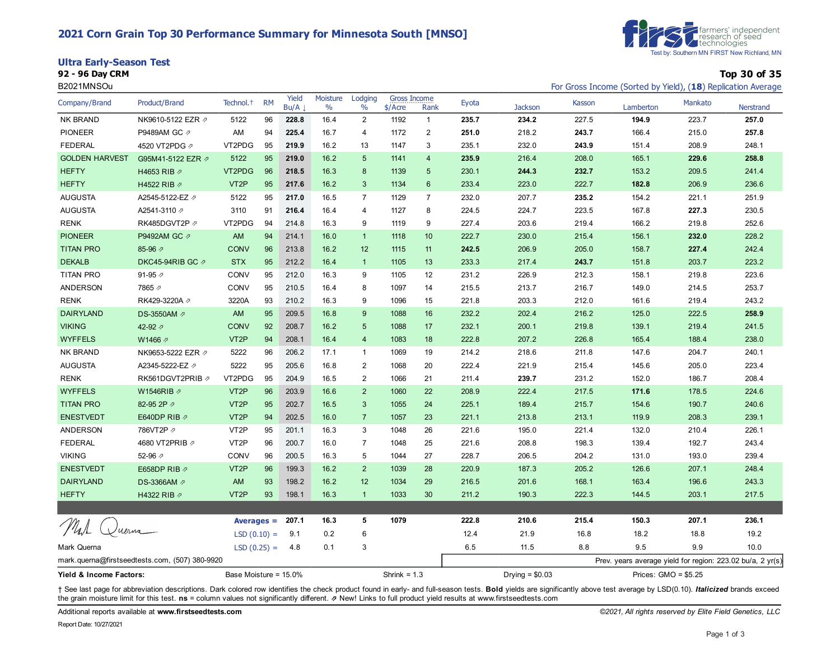### **2021 Corn Grain Top 30 Performance Summary for Minnesota South [MNSO]**

**Ultra Early-Season Test**



**92 - 96 Day CRM Top 30 of 35**

| B2021MNSOu              |                                                |                       |           |               |                  |                 |                                  |                 |                  |                |        | For Gross Income (Sorted by Yield), (18) Replication Average |         |                  |  |
|-------------------------|------------------------------------------------|-----------------------|-----------|---------------|------------------|-----------------|----------------------------------|-----------------|------------------|----------------|--------|--------------------------------------------------------------|---------|------------------|--|
| Company/Brand           | Product/Brand                                  | Technol. <sup>+</sup> | <b>RM</b> | Yield<br>Bu/A | Moisture<br>$\%$ | Lodging<br>$\%$ | <b>Gross Income</b><br>$$/$ Acre | Rank            | Eyota            | <b>Jackson</b> | Kasson | Lamberton                                                    | Mankato | <b>Nerstrand</b> |  |
| <b>NK BRAND</b>         | NK9610-5122 EZR Ø                              | 5122                  | 96        | 228.8         | 16.4             | 2               | 1192                             | $\overline{1}$  | 235.7            | 234.2          | 227.5  | 194.9                                                        | 223.7   | 257.0            |  |
| <b>PIONEER</b>          | P9489AM GC 2                                   | AM                    | 94        | 225.4         | 16.7             | 4               | 1172                             | $\overline{2}$  | 251.0            | 218.2          | 243.7  | 166.4                                                        | 215.0   | 257.8            |  |
| <b>FEDERAL</b>          | 4520 VT2PDG 2                                  | VT2PDG                | 95        | 219.9         | 16.2             | 13              | 1147                             | 3               | 235.1            | 232.0          | 243.9  | 151.4                                                        | 208.9   | 248.1            |  |
| <b>GOLDEN HARVEST</b>   | G95M41-5122 EZR 2                              | 5122                  | 95        | 219.0         | 16.2             | 5               | 1141                             | $\overline{4}$  | 235.9            | 216.4          | 208.0  | 165.1                                                        | 229.6   | 258.8            |  |
| <b>HEFTY</b>            | H4653 RIB 2                                    | VT2PDG                | 96        | 218.5         | 16.3             | 8               | 1139                             | $5\phantom{.0}$ | 230.1            | 244.3          | 232.7  | 153.2                                                        | 209.5   | 241.4            |  |
| <b>HEFTY</b>            | H4522 RIB 2                                    | VT <sub>2</sub> P     | 95        | 217.6         | 16.2             | 3               | 1134                             | $6\phantom{1}6$ | 233.4            | 223.0          | 222.7  | 182.8                                                        | 206.9   | 236.6            |  |
| <b>AUGUSTA</b>          | A2545-5122-EZ 2                                | 5122                  | 95        | 217.0         | 16.5             | $\overline{7}$  | 1129                             | $\overline{7}$  | 232.0            | 207.7          | 235.2  | 154.2                                                        | 221.1   | 251.9            |  |
| <b>AUGUSTA</b>          | A2541-3110 2                                   | 3110                  | 91        | 216.4         | 16.4             | 4               | 1127                             | 8               | 224.5            | 224.7          | 223.5  | 167.8                                                        | 227.3   | 230.5            |  |
| <b>RENK</b>             | RK485DGVT2P 2                                  | VT2PDG                | 94        | 214.8         | 16.3             | 9               | 1119                             | 9               | 227.4            | 203.6          | 219.4  | 166.2                                                        | 219.8   | 252.6            |  |
| <b>PIONEER</b>          | P9492AM GC Ø                                   | AM                    | 94        | 214.1         | 16.0             | $\mathbf{1}$    | 1118                             | 10              | 222.7            | 230.0          | 215.4  | 156.1                                                        | 232.0   | 228.2            |  |
| <b>TITAN PRO</b>        | 85-96 2                                        | <b>CONV</b>           | 96        | 213.8         | 16.2             | 12              | 1115                             | 11              | 242.5            | 206.9          | 205.0  | 158.7                                                        | 227.4   | 242.4            |  |
| <b>DEKALB</b>           | DKC45-94RIB GC の                               | <b>STX</b>            | 95        | 212.2         | 16.4             | $\overline{1}$  | 1105                             | 13              | 233.3            | 217.4          | 243.7  | 151.8                                                        | 203.7   | 223.2            |  |
| <b>TITAN PRO</b>        | 91-95 $\n  7$                                  | <b>CONV</b>           | 95        | 212.0         | 16.3             | 9               | 1105                             | 12              | 231.2            | 226.9          | 212.3  | 158.1                                                        | 219.8   | 223.6            |  |
| ANDERSON                | 7865 2                                         | CONV                  | 95        | 210.5         | 16.4             | 8               | 1097                             | 14              | 215.5            | 213.7          | 216.7  | 149.0                                                        | 214.5   | 253.7            |  |
| <b>RENK</b>             | RK429-3220A 2                                  | 3220A                 | 93        | 210.2         | 16.3             | 9               | 1096                             | 15              | 221.8            | 203.3          | 212.0  | 161.6                                                        | 219.4   | 243.2            |  |
| <b>DAIRYLAND</b>        | DS-3550AM 2                                    | AM                    | 95        | 209.5         | 16.8             | 9               | 1088                             | 16              | 232.2            | 202.4          | 216.2  | 125.0                                                        | 222.5   | 258.9            |  |
| <b>VIKING</b>           | 42-92 $\varnothing$                            | <b>CONV</b>           | 92        | 208.7         | 16.2             | $5\phantom{.0}$ | 1088                             | 17              | 232.1            | 200.1          | 219.8  | 139.1                                                        | 219.4   | 241.5            |  |
| <b>WYFFELS</b>          | W1466 2                                        | VT <sub>2</sub> P     | 94        | 208.1         | 16.4             | $\overline{4}$  | 1083                             | 18              | 222.8            | 207.2          | 226.8  | 165.4                                                        | 188.4   | 238.0            |  |
| NK BRAND                | NK9653-5222 EZR Ø                              | 5222                  | 96        | 206.2         | 17.1             | $\mathbf{1}$    | 1069                             | 19              | 214.2            | 218.6          | 211.8  | 147.6                                                        | 204.7   | 240.1            |  |
| <b>AUGUSTA</b>          | A2345-5222-EZ ク                                | 5222                  | 95        | 205.6         | 16.8             | 2               | 1068                             | 20              | 222.4            | 221.9          | 215.4  | 145.6                                                        | 205.0   | 223.4            |  |
| <b>RENK</b>             | RK561DGVT2PRIB 2                               | VT2PDG                | 95        | 204.9         | 16.5             | $\sqrt{2}$      | 1066                             | 21              | 211.4            | 239.7          | 231.2  | 152.0                                                        | 186.7   | 208.4            |  |
| <b>WYFFELS</b>          | W1546RIB の                                     | VT <sub>2P</sub>      | 96        | 203.9         | 16.6             | $\overline{2}$  | 1060                             | 22              | 208.9            | 222.4          | 217.5  | 171.6                                                        | 178.5   | 224.6            |  |
| <b>TITAN PRO</b>        | 82-95 2P 2                                     | VT <sub>2</sub> P     | 95        | 202.7         | 16.5             | $\sqrt{3}$      | 1055                             | 24              | 225.1            | 189.4          | 215.7  | 154.6                                                        | 190.7   | 240.6            |  |
| <b>ENESTVEDT</b>        | E640DP RIB 2                                   | VT <sub>2</sub> P     | 94        | 202.5         | 16.0             | $\overline{7}$  | 1057                             | 23              | 221.1            | 213.8          | 213.1  | 119.9                                                        | 208.3   | 239.1            |  |
| ANDERSON                | 786VT2P                                        | VT <sub>2</sub> P     | 95        | 201.1         | 16.3             | 3               | 1048                             | 26              | 221.6            | 195.0          | 221.4  | 132.0                                                        | 210.4   | 226.1            |  |
| <b>FEDERAL</b>          | 4680 VT2PRIB 2                                 | VT <sub>2</sub> P     | 96        | 200.7         | 16.0             | $\overline{7}$  | 1048                             | 25              | 221.6            | 208.8          | 198.3  | 139.4                                                        | 192.7   | 243.4            |  |
| <b>VIKING</b>           | 52-96 2                                        | CONV                  | 96        | 200.5         | 16.3             | 5               | 1044                             | 27              | 228.7            | 206.5          | 204.2  | 131.0                                                        | 193.0   | 239.4            |  |
| <b>ENESTVEDT</b>        | E658DP RIB 2                                   | VT <sub>2</sub> P     | 96        | 199.3         | 16.2             | $\overline{2}$  | 1039                             | 28              | 220.9            | 187.3          | 205.2  | 126.6                                                        | 207.1   | 248.4            |  |
| <b>DAIRYLAND</b>        | DS-3366AM 2                                    | AM                    | 93        | 198.2         | 16.2             | 12              | 1034                             | 29              | 216.5            | 201.6          | 168.1  | 163.4                                                        | 196.6   | 243.3            |  |
| <b>HEFTY</b>            | H4322 RIB 2                                    | VT <sub>2</sub> P     | 93        | 198.1         | 16.3             | $\mathbf{1}$    | 1033                             | 30              | 211.2            | 190.3          | 222.3  | 144.5                                                        | 203.1   | 217.5            |  |
|                         |                                                |                       |           |               |                  |                 |                                  |                 |                  |                |        |                                                              |         |                  |  |
| Mal<br>Vuerna           |                                                | $Averages =$          |           | 207.1         | 16.3             | 5               | 1079                             |                 | 222.8            | 210.6          | 215.4  | 150.3                                                        | 207.1   | 236.1            |  |
|                         |                                                | $LSD(0.10) =$         |           | 9.1           | 0.2              | 6               |                                  |                 | 12.4             | 21.9           | 16.8   | 18.2                                                         | 18.8    | 19.2             |  |
| Mark Querna             |                                                | $LSD(0.25) =$         |           | 4.8           | 0.1              | 3               |                                  |                 | 6.5              | 11.5           | 8.8    | 9.5                                                          | 9.9     | 10.0             |  |
|                         | mark.querna@firstseedtests.com, (507) 380-9920 |                       |           |               |                  |                 |                                  |                 |                  |                |        | Prev. years average yield for region: 223.02 bu/a, 2 yr(s)   |         |                  |  |
| Yield & Income Factors: |                                                | Base Moisture = 15.0% |           |               |                  | Shrink = $1.3$  |                                  |                 | Drying $= $0.03$ |                |        | Prices: $GMO = $5.25$                                        |         |                  |  |

+ See last page for abbreviation descriptions. Dark colored row identifies the check product found in early- and full-season tests. Bold yields are significantly above test average by LSD(0.10). Italicized brands exceed the grain moisture limit for this test. **ns** = column values not significantly different. ⇗ New! Links to full product yield results at www.firstseedtests.com

Additional reports available at **[www.firstseedtests.com](https://www.firstseedtests.com)** *©2021, All rights reserved by Elite Field Genetics, LLC*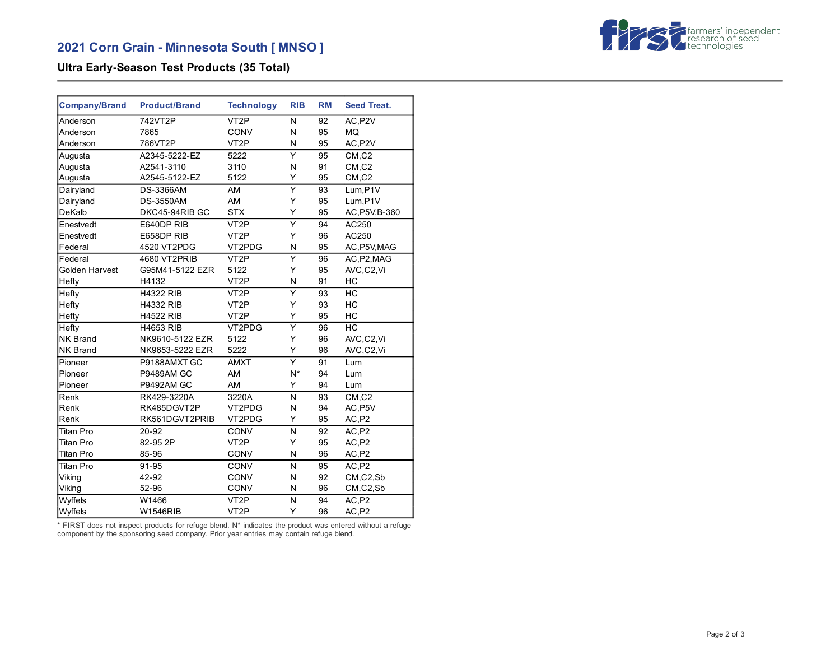

## **Ultra Early-Season Test Products (35 Total)**

| <b>Company/Brand</b> | <b>Product/Brand</b> | <b>Technology</b> | <b>RIB</b>              | <b>RM</b> | <b>Seed Treat.</b> |
|----------------------|----------------------|-------------------|-------------------------|-----------|--------------------|
| Anderson             | 742VT2P              | VT <sub>2</sub> P | N                       | 92        | AC, P2V            |
| Anderson             | 7865                 | CONV              | N                       | 95        | <b>MQ</b>          |
| Anderson             | 786VT2P              | VT <sub>2</sub> P | Ν                       | 95        | AC, P2V            |
| Augusta              | A2345-5222-EZ        | 5222              | Y                       | 95        | CM, C2             |
| Augusta              | A2541-3110           | 3110              | N                       | 91        | $CM$ , $C2$        |
| Augusta              | A2545-5122-EZ        | 5122              | Υ                       | 95        | CM, C2             |
| Dairyland            | <b>DS-3366AM</b>     | AM                | Ÿ                       | 93        | Lum, P1V           |
| Dairyland            | <b>DS-3550AM</b>     | AM                | Y                       | 95        | Lum, P1V           |
| DeKalb               | DKC45-94RIB GC       | <b>STX</b>        | Y                       | 95        | AC, P5V, B-360     |
| Enestvedt            | E640DP RIB           | VT <sub>2</sub> P | $\overline{\mathsf{Y}}$ | 94        | AC250              |
| Enestvedt            | E658DP RIB           | VT <sub>2</sub> P | Υ                       | 96        | AC250              |
| Federal              | 4520 VT2PDG          | VT2PDG            | N                       | 95        | AC, P5V, MAG       |
| Federal              | 4680 VT2PRIB         | VT <sub>2</sub> P | Ý                       | 96        | AC, P2, MAG        |
| Golden Harvest       | G95M41-5122 EZR      | 5122              | Y                       | 95        | AVC,C2,Vi          |
| Hefty                | H4132                | VT <sub>2</sub> P | N                       | 91        | HC                 |
| Hefty                | <b>H4322 RIB</b>     | VT <sub>2</sub> P | Υ                       | 93        | HC                 |
| Hefty                | <b>H4332 RIB</b>     | VT <sub>2</sub> P | Y                       | 93        | HC                 |
| Hefty                | <b>H4522 RIB</b>     | VT <sub>2</sub> P | Y                       | 95        | HC                 |
| <b>Hefty</b>         | <b>H4653 RIB</b>     | VT2PDG            | Υ                       | 96        | HC                 |
| NK Brand             | NK9610-5122 EZR      | 5122              | Y                       | 96        | AVC,C2,Vi          |
| <b>NK Brand</b>      | NK9653-5222 EZR      | 5222              | Υ                       | 96        | AVC,C2,Vi          |
| Pioneer              | P9188AMXT GC         | <b>AMXT</b>       | Ý                       | 91        | Lum                |
| Pioneer              | <b>P9489AM GC</b>    | AM                | $N^*$                   | 94        | Lum                |
| Pioneer              | <b>P9492AM GC</b>    | AM                | Υ                       | 94        | Lum                |
| Renk                 | RK429-3220A          | 3220A             | N                       | 93        | CM, C2             |
| Renk                 | RK485DGVT2P          | VT2PDG            | N                       | 94        | AC, P5V            |
| Renk                 | RK561DGVT2PRIB       | VT2PDG            | Υ                       | 95        | AC, P2             |
| <b>Titan Pro</b>     | 20-92                | CONV              | N                       | 92        | AC,P2              |
| <b>Titan Pro</b>     | 82-95 2P             | VT <sub>2</sub> P | Y                       | 95        | AC,P2              |
| Titan Pro            | 85-96                | <b>CONV</b>       | N                       | 96        | AC, P2             |
| Titan Pro            | 91-95                | CONV              | N                       | 95        | AC,P2              |
| Viking               | 42-92                | CONV              | N                       | 92        | CM,C2,Sb           |
| Viking               | 52-96                | CONV              | N                       | 96        | CM,C2,Sb           |
| Wyffels              | W1466                | VT <sub>2</sub> P | N                       | 94        | AC,P2              |
| Wyffels              | <b>W1546RIB</b>      | VT <sub>2</sub> P | Y                       | 96        | AC, P2             |

\* FIRST does not inspect products for refuge blend. N\* indicates the product was entered without a refuge component by the sponsoring seed company. Prior year entries may contain refuge blend.